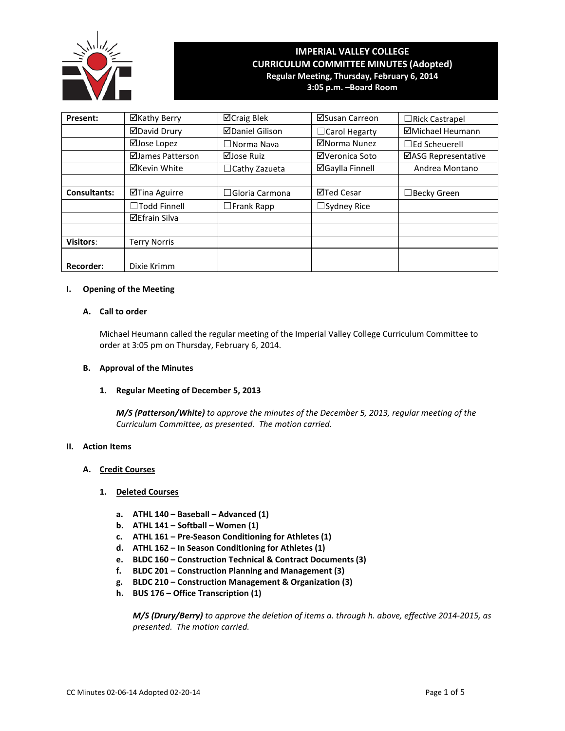

# **IMPERIAL VALLEY COLLEGE CURRICULUM COMMITTEE MINUTES (Adopted) Regular Meeting, Thursday, February 6, 2014**

**3:05 p.m. –Board Room**

| Present:            | ⊠Kathy Berry         | ⊠Craig Blek            | ⊠Susan Carreon         | □Rick Castrapel           |
|---------------------|----------------------|------------------------|------------------------|---------------------------|
|                     | <b>ØDavid Drury</b>  | <b>ØDaniel Gilison</b> | □ Carol Hegarty        | ⊠Michael Heumann          |
|                     | ⊠Jose Lopez          | $\Box$ Norma Nava      | ⊠Norma Nunez           | $\sqsupset$ Ed Scheuerell |
|                     | ⊠James Patterson     | ⊠Jose Ruiz             | ⊠Veronica Soto         | ⊠ASG Representative       |
|                     | ⊠Kevin White         | $\Box$ Cathy Zazueta   | <b>⊠Gaylla Finnell</b> | Andrea Montano            |
|                     |                      |                        |                        |                           |
| <b>Consultants:</b> | ⊠Tina Aguirre        | $\Box$ Gloria Carmona  | <b>⊠Ted Cesar</b>      | ∃Becky Green              |
|                     | $\Box$ Todd Finnell  | $\Box$ Frank Rapp      | $\Box$ Sydney Rice     |                           |
|                     | <b>⊠Efrain Silva</b> |                        |                        |                           |
|                     |                      |                        |                        |                           |
| <b>Visitors:</b>    | <b>Terry Norris</b>  |                        |                        |                           |
|                     |                      |                        |                        |                           |
| <b>Recorder:</b>    | Dixie Krimm          |                        |                        |                           |

# **I. Opening of the Meeting**

### **A. Call to order**

Michael Heumann called the regular meeting of the Imperial Valley College Curriculum Committee to order at 3:05 pm on Thursday, February 6, 2014.

### **B. Approval of the Minutes**

### **1. Regular Meeting of December 5, 2013**

*M/S (Patterson/White) to approve the minutes of the December 5, 2013, regular meeting of the Curriculum Committee, as presented. The motion carried.*

### **II. Action Items**

### **A. Credit Courses**

### **1. Deleted Courses**

- **a. ATHL 140 – Baseball – Advanced (1)**
- **b. ATHL 141 – Softball – Women (1)**
- **c. ATHL 161 – Pre-Season Conditioning for Athletes (1)**
- **d. ATHL 162 – In Season Conditioning for Athletes (1)**
- **e. BLDC 160 – Construction Technical & Contract Documents (3)**
- **f. BLDC 201 – Construction Planning and Management (3)**
- **g. BLDC 210 – Construction Management & Organization (3)**
- **h. BUS 176 – Office Transcription (1)**

*M/S (Drury/Berry) to approve the deletion of items a. through h. above, effective 2014-2015, as presented. The motion carried.*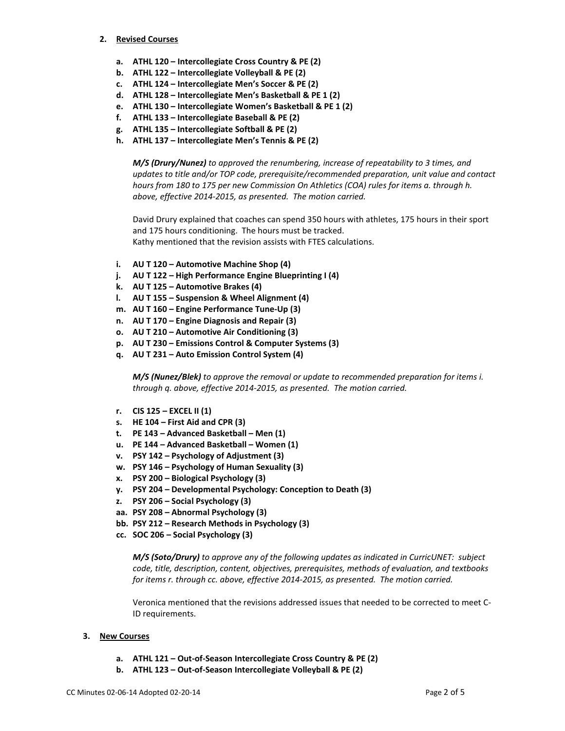### **2. Revised Courses**

- **a. ATHL 120 – Intercollegiate Cross Country & PE (2)**
- **b. ATHL 122 – Intercollegiate Volleyball & PE (2)**
- **c. ATHL 124 – Intercollegiate Men's Soccer & PE (2)**
- **d. ATHL 128 – Intercollegiate Men's Basketball & PE 1 (2)**
- **e. ATHL 130 – Intercollegiate Women's Basketball & PE 1 (2)**
- **f. ATHL 133 – Intercollegiate Baseball & PE (2)**
- **g. ATHL 135 – Intercollegiate Softball & PE (2)**
- **h. ATHL 137 – Intercollegiate Men's Tennis & PE (2)**

*M/S (Drury/Nunez) to approved the renumbering, increase of repeatability to 3 times, and updates to title and/or TOP code, prerequisite/recommended preparation, unit value and contact hours from 180 to 175 per new Commission On Athletics (COA) rules for items a. through h. above, effective 2014-2015, as presented. The motion carried.*

David Drury explained that coaches can spend 350 hours with athletes, 175 hours in their sport and 175 hours conditioning. The hours must be tracked. Kathy mentioned that the revision assists with FTES calculations.

- **i. AU T 120 – Automotive Machine Shop (4)**
- **j. AU T 122 – High Performance Engine Blueprinting I (4)**
- **k. AU T 125 – Automotive Brakes (4)**
- **l. AU T 155 – Suspension & Wheel Alignment (4)**
- **m. AU T 160 – Engine Performance Tune-Up (3)**
- **n. AU T 170 – Engine Diagnosis and Repair (3)**
- **o. AU T 210 – Automotive Air Conditioning (3)**
- **p. AU T 230 – Emissions Control & Computer Systems (3)**
- **q. AU T 231 – Auto Emission Control System (4)**

*M/S (Nunez/Blek) to approve the removal or update to recommended preparation for items i. through q. above, effective 2014-2015, as presented. The motion carried.*

- **r. CIS 125 – EXCEL II (1)**
- **s. HE 104 – First Aid and CPR (3)**
- **t. PE 143 – Advanced Basketball – Men (1)**
- **u. PE 144 – Advanced Basketball – Women (1)**
- **v. PSY 142 – Psychology of Adjustment (3)**
- **w. PSY 146 – Psychology of Human Sexuality (3)**
- **x. PSY 200 – Biological Psychology (3)**
- **y. PSY 204 – Developmental Psychology: Conception to Death (3)**
- **z. PSY 206 – Social Psychology (3)**
- **aa. PSY 208 – Abnormal Psychology (3)**
- **bb. PSY 212 – Research Methods in Psychology (3)**
- **cc. SOC 206 – Social Psychology (3)**

*M/S (Soto/Drury) to approve any of the following updates as indicated in CurricUNET: subject code, title, description, content, objectives, prerequisites, methods of evaluation, and textbooks for items r. through cc. above, effective 2014-2015, as presented. The motion carried.*

Veronica mentioned that the revisions addressed issues that needed to be corrected to meet C-ID requirements.

### **3. New Courses**

- **a. ATHL 121 – Out-of-Season Intercollegiate Cross Country & PE (2)**
- **b. ATHL 123 – Out-of-Season Intercollegiate Volleyball & PE (2)**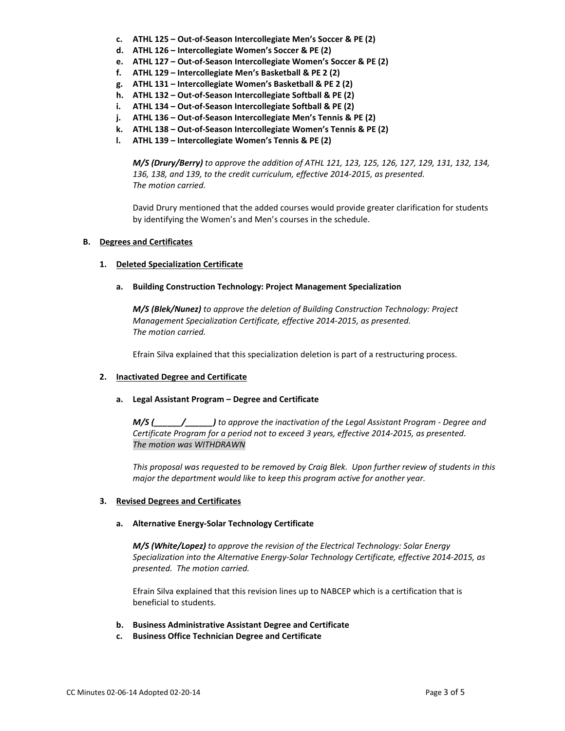- **c. ATHL 125 – Out-of-Season Intercollegiate Men's Soccer & PE (2)**
- **d. ATHL 126 – Intercollegiate Women's Soccer & PE (2)**
- **e. ATHL 127 – Out-of-Season Intercollegiate Women's Soccer & PE (2)**
- **f. ATHL 129 – Intercollegiate Men's Basketball & PE 2 (2)**
- **g. ATHL 131 – Intercollegiate Women's Basketball & PE 2 (2)**
- **h. ATHL 132 – Out-of-Season Intercollegiate Softball & PE (2)**
- **i. ATHL 134 – Out-of-Season Intercollegiate Softball & PE (2)**
- **j. ATHL 136 – Out-of-Season Intercollegiate Men's Tennis & PE (2)**
- **k. ATHL 138 – Out-of-Season Intercollegiate Women's Tennis & PE (2)**
- **l. ATHL 139 – Intercollegiate Women's Tennis & PE (2)**

*M/S (Drury/Berry) to approve the addition of ATHL 121, 123, 125, 126, 127, 129, 131, 132, 134, 136, 138, and 139, to the credit curriculum, effective 2014-2015, as presented. The motion carried.*

David Drury mentioned that the added courses would provide greater clarification for students by identifying the Women's and Men's courses in the schedule.

# **B. Degrees and Certificates**

# **1. Deleted Specialization Certificate**

**a. Building Construction Technology: Project Management Specialization**

*M/S (Blek/Nunez) to approve the deletion of Building Construction Technology: Project Management Specialization Certificate, effective 2014-2015, as presented. The motion carried.*

Efrain Silva explained that this specialization deletion is part of a restructuring process.

# **2. Inactivated Degree and Certificate**

### **a. Legal Assistant Program – Degree and Certificate**

*M/S (\_\_\_\_\_\_/\_\_\_\_\_\_) to approve the inactivation of the Legal Assistant Program - Degree and Certificate Program for a period not to exceed 3 years, effective 2014-2015, as presented. The motion was WITHDRAWN*

*This proposal was requested to be removed by Craig Blek. Upon further review of students in this major the department would like to keep this program active for another year.*

# **3. Revised Degrees and Certificates**

# **a. Alternative Energy-Solar Technology Certificate**

*M/S (White/Lopez) to approve the revision of the Electrical Technology: Solar Energy Specialization into the Alternative Energy-Solar Technology Certificate, effective 2014-2015, as presented. The motion carried.*

Efrain Silva explained that this revision lines up to NABCEP which is a certification that is beneficial to students.

- **b. Business Administrative Assistant Degree and Certificate**
- **c. Business Office Technician Degree and Certificate**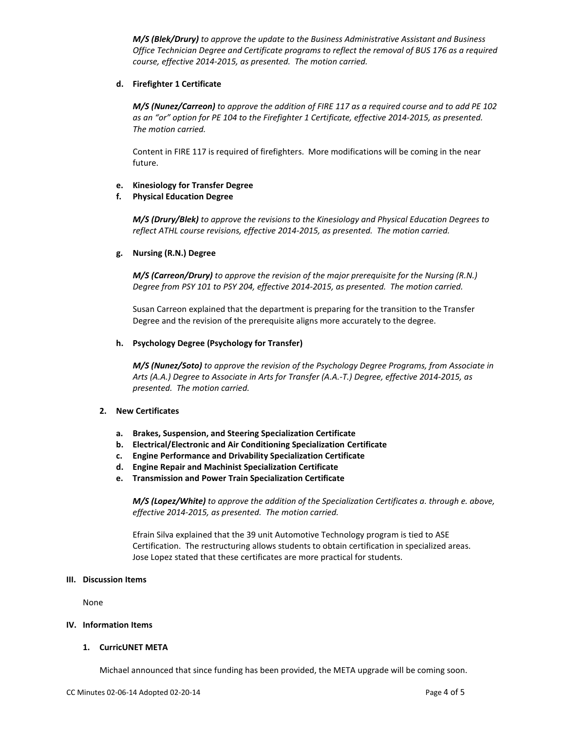*M/S (Blek/Drury) to approve the update to the Business Administrative Assistant and Business Office Technician Degree and Certificate programs to reflect the removal of BUS 176 as a required course, effective 2014-2015, as presented. The motion carried.*

### **d. Firefighter 1 Certificate**

*M/S (Nunez/Carreon) to approve the addition of FIRE 117 as a required course and to add PE 102 as an "or" option for PE 104 to the Firefighter 1 Certificate, effective 2014-2015, as presented. The motion carried.*

Content in FIRE 117 is required of firefighters. More modifications will be coming in the near future.

### **e. Kinesiology for Transfer Degree**

### **f. Physical Education Degree**

*M/S (Drury/Blek) to approve the revisions to the Kinesiology and Physical Education Degrees to reflect ATHL course revisions, effective 2014-2015, as presented. The motion carried.*

### **g. Nursing (R.N.) Degree**

*M/S (Carreon/Drury) to approve the revision of the major prerequisite for the Nursing (R.N.) Degree from PSY 101 to PSY 204, effective 2014-2015, as presented. The motion carried.*

Susan Carreon explained that the department is preparing for the transition to the Transfer Degree and the revision of the prerequisite aligns more accurately to the degree.

### **h. Psychology Degree (Psychology for Transfer)**

*M/S (Nunez/Soto) to approve the revision of the Psychology Degree Programs, from Associate in Arts (A.A.) Degree to Associate in Arts for Transfer (A.A.-T.) Degree, effective 2014-2015, as presented. The motion carried.*

# **2. New Certificates**

- **a. Brakes, Suspension, and Steering Specialization Certificate**
- **b. Electrical/Electronic and Air Conditioning Specialization Certificate**
- **c. Engine Performance and Drivability Specialization Certificate**
- **d. Engine Repair and Machinist Specialization Certificate**
- **e. Transmission and Power Train Specialization Certificate**

*M/S (Lopez/White) to approve the addition of the Specialization Certificates a. through e. above, effective 2014-2015, as presented. The motion carried.*

Efrain Silva explained that the 39 unit Automotive Technology program is tied to ASE Certification. The restructuring allows students to obtain certification in specialized areas. Jose Lopez stated that these certificates are more practical for students.

### **III. Discussion Items**

None

### **IV. Information Items**

### **1. CurricUNET META**

Michael announced that since funding has been provided, the META upgrade will be coming soon.